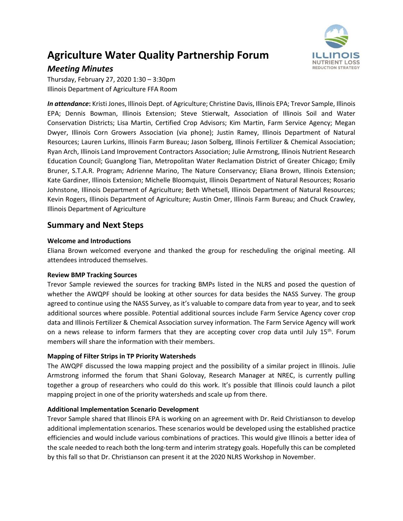# **Agriculture Water Quality Partnership Forum**



# *Meeting Minutes*

Thursday, February 27, 2020 1:30 – 3:30pm Illinois Department of Agriculture FFA Room

*In attendance***:** Kristi Jones, Illinois Dept. of Agriculture; Christine Davis, Illinois EPA; Trevor Sample, Illinois EPA; Dennis Bowman, Illinois Extension; Steve Stierwalt, Association of Illinois Soil and Water Conservation Districts; Lisa Martin, Certified Crop Advisors; Kim Martin, Farm Service Agency; Megan Dwyer, Illinois Corn Growers Association (via phone); Justin Ramey, Illinois Department of Natural Resources; Lauren Lurkins, Illinois Farm Bureau; Jason Solberg, Illinois Fertilizer & Chemical Association; Ryan Arch, Illinois Land Improvement Contractors Association; Julie Armstrong, Illinois Nutrient Research Education Council; Guanglong Tian, Metropolitan Water Reclamation District of Greater Chicago; Emily Bruner, S.T.A.R. Program; Adrienne Marino, The Nature Conservancy; Eliana Brown, Illinois Extension; Kate Gardiner, Illinois Extension; Michelle Bloomquist, Illinois Department of Natural Resources; Rosario Johnstone, Illinois Department of Agriculture; Beth Whetsell, Illinois Department of Natural Resources; Kevin Rogers, Illinois Department of Agriculture; Austin Omer, Illinois Farm Bureau; and Chuck Crawley, Illinois Department of Agriculture

# **Summary and Next Steps**

## **Welcome and Introductions**

Eliana Brown welcomed everyone and thanked the group for rescheduling the original meeting. All attendees introduced themselves.

## **Review BMP Tracking Sources**

Trevor Sample reviewed the sources for tracking BMPs listed in the NLRS and posed the question of whether the AWQPF should be looking at other sources for data besides the NASS Survey. The group agreed to continue using the NASS Survey, as it's valuable to compare data from year to year, and to seek additional sources where possible. Potential additional sources include Farm Service Agency cover crop data and Illinois Fertilizer & Chemical Association survey information. The Farm Service Agency will work on a news release to inform farmers that they are accepting cover crop data until July  $15^{th}$ . Forum members will share the information with their members.

## **Mapping of Filter Strips in TP Priority Watersheds**

The AWQPF discussed the Iowa mapping project and the possibility of a similar project in Illinois. Julie Armstrong informed the forum that Shani Golovay, Research Manager at NREC, is currently pulling together a group of researchers who could do this work. It's possible that Illinois could launch a pilot mapping project in one of the priority watersheds and scale up from there.

## **Additional Implementation Scenario Development**

Trevor Sample shared that Illinois EPA is working on an agreement with Dr. Reid Christianson to develop additional implementation scenarios. These scenarios would be developed using the established practice efficiencies and would include various combinations of practices. This would give Illinois a better idea of the scale needed to reach both the long-term and interim strategy goals. Hopefully this can be completed by this fall so that Dr. Christianson can present it at the 2020 NLRS Workshop in November.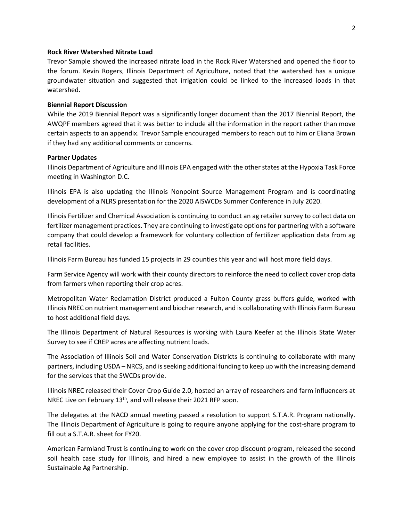#### **Rock River Watershed Nitrate Load**

Trevor Sample showed the increased nitrate load in the Rock River Watershed and opened the floor to the forum. Kevin Rogers, Illinois Department of Agriculture, noted that the watershed has a unique groundwater situation and suggested that irrigation could be linked to the increased loads in that watershed.

#### **Biennial Report Discussion**

While the 2019 Biennial Report was a significantly longer document than the 2017 Biennial Report, the AWQPF members agreed that it was better to include all the information in the report rather than move certain aspects to an appendix. Trevor Sample encouraged members to reach out to him or Eliana Brown if they had any additional comments or concerns.

#### **Partner Updates**

Illinois Department of Agriculture and Illinois EPA engaged with the other states at the Hypoxia Task Force meeting in Washington D.C.

Illinois EPA is also updating the Illinois Nonpoint Source Management Program and is coordinating development of a NLRS presentation for the 2020 AISWCDs Summer Conference in July 2020.

Illinois Fertilizer and Chemical Association is continuing to conduct an ag retailer survey to collect data on fertilizer management practices. They are continuing to investigate options for partnering with a software company that could develop a framework for voluntary collection of fertilizer application data from ag retail facilities.

Illinois Farm Bureau has funded 15 projects in 29 counties this year and will host more field days.

Farm Service Agency will work with their county directors to reinforce the need to collect cover crop data from farmers when reporting their crop acres.

Metropolitan Water Reclamation District produced a Fulton County grass buffers guide, worked with Illinois NREC on nutrient management and biochar research, and is collaborating with Illinois Farm Bureau to host additional field days.

The Illinois Department of Natural Resources is working with Laura Keefer at the Illinois State Water Survey to see if CREP acres are affecting nutrient loads.

The Association of Illinois Soil and Water Conservation Districts is continuing to collaborate with many partners, including USDA – NRCS, and is seeking additional funding to keep up with the increasing demand for the services that the SWCDs provide.

Illinois NREC released their Cover Crop Guide 2.0, hosted an array of researchers and farm influencers at NREC Live on February 13<sup>th</sup>, and will release their 2021 RFP soon.

The delegates at the NACD annual meeting passed a resolution to support S.T.A.R. Program nationally. The Illinois Department of Agriculture is going to require anyone applying for the cost-share program to fill out a S.T.A.R. sheet for FY20.

American Farmland Trust is continuing to work on the cover crop discount program, released the second soil health case study for Illinois, and hired a new employee to assist in the growth of the Illinois Sustainable Ag Partnership.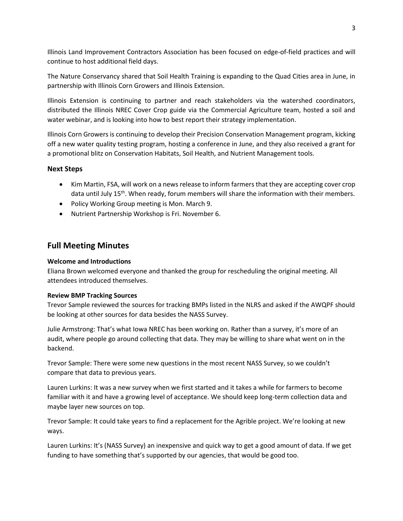Illinois Land Improvement Contractors Association has been focused on edge-of-field practices and will continue to host additional field days.

The Nature Conservancy shared that Soil Health Training is expanding to the Quad Cities area in June, in partnership with Illinois Corn Growers and Illinois Extension.

Illinois Extension is continuing to partner and reach stakeholders via the watershed coordinators, distributed the Illinois NREC Cover Crop guide via the Commercial Agriculture team, hosted a soil and water webinar, and is looking into how to best report their strategy implementation.

Illinois Corn Growers is continuing to develop their Precision Conservation Management program, kicking off a new water quality testing program, hosting a conference in June, and they also received a grant for a promotional blitz on Conservation Habitats, Soil Health, and Nutrient Management tools.

## **Next Steps**

- Kim Martin, FSA, will work on a news release to inform farmers that they are accepting cover crop data until July  $15<sup>th</sup>$ . When ready, forum members will share the information with their members.
- Policy Working Group meeting is Mon. March 9.
- Nutrient Partnership Workshop is Fri. November 6.

# **Full Meeting Minutes**

## **Welcome and Introductions**

Eliana Brown welcomed everyone and thanked the group for rescheduling the original meeting. All attendees introduced themselves.

## **Review BMP Tracking Sources**

Trevor Sample reviewed the sources for tracking BMPs listed in the NLRS and asked if the AWQPF should be looking at other sources for data besides the NASS Survey.

Julie Armstrong: That's what Iowa NREC has been working on. Rather than a survey, it's more of an audit, where people go around collecting that data. They may be willing to share what went on in the backend.

Trevor Sample: There were some new questions in the most recent NASS Survey, so we couldn't compare that data to previous years.

Lauren Lurkins: It was a new survey when we first started and it takes a while for farmers to become familiar with it and have a growing level of acceptance. We should keep long-term collection data and maybe layer new sources on top.

Trevor Sample: It could take years to find a replacement for the Agrible project. We're looking at new ways.

Lauren Lurkins: It's (NASS Survey) an inexpensive and quick way to get a good amount of data. If we get funding to have something that's supported by our agencies, that would be good too.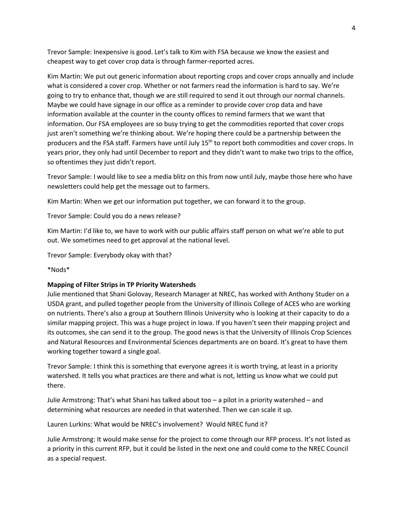Trevor Sample: Inexpensive is good. Let's talk to Kim with FSA because we know the easiest and cheapest way to get cover crop data is through farmer-reported acres.

Kim Martin: We put out generic information about reporting crops and cover crops annually and include what is considered a cover crop. Whether or not farmers read the information is hard to say. We're going to try to enhance that, though we are still required to send it out through our normal channels. Maybe we could have signage in our office as a reminder to provide cover crop data and have information available at the counter in the county offices to remind farmers that we want that information. Our FSA employees are so busy trying to get the commodities reported that cover crops just aren't something we're thinking about. We're hoping there could be a partnership between the producers and the FSA staff. Farmers have until July 15th to report both commodities and cover crops. In years prior, they only had until December to report and they didn't want to make two trips to the office, so oftentimes they just didn't report.

Trevor Sample: I would like to see a media blitz on this from now until July, maybe those here who have newsletters could help get the message out to farmers.

Kim Martin: When we get our information put together, we can forward it to the group.

Trevor Sample: Could you do a news release?

Kim Martin: I'd like to, we have to work with our public affairs staff person on what we're able to put out. We sometimes need to get approval at the national level.

Trevor Sample: Everybody okay with that?

\*Nods\*

#### **Mapping of Filter Strips in TP Priority Watersheds**

Julie mentioned that Shani Golovay, Research Manager at NREC, has worked with Anthony Studer on a USDA grant, and pulled together people from the University of Illinois College of ACES who are working on nutrients. There's also a group at Southern Illinois University who is looking at their capacity to do a similar mapping project. This was a huge project in Iowa. If you haven't seen their mapping project and its outcomes, she can send it to the group. The good news is that the University of Illinois Crop Sciences and Natural Resources and Environmental Sciences departments are on board. It's great to have them working together toward a single goal.

Trevor Sample: I think this is something that everyone agrees it is worth trying, at least in a priority watershed. It tells you what practices are there and what is not, letting us know what we could put there.

Julie Armstrong: That's what Shani has talked about too – a pilot in a priority watershed – and determining what resources are needed in that watershed. Then we can scale it up.

Lauren Lurkins: What would be NREC's involvement? Would NREC fund it?

Julie Armstrong: It would make sense for the project to come through our RFP process. It's not listed as a priority in this current RFP, but it could be listed in the next one and could come to the NREC Council as a special request.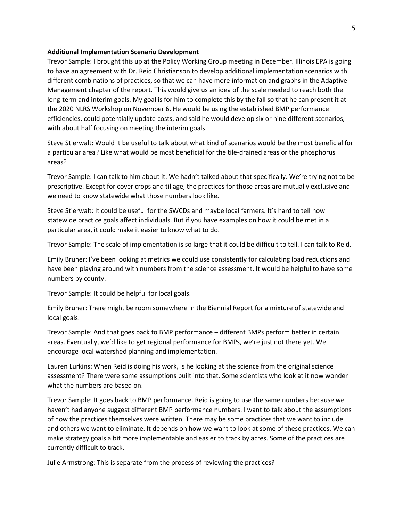#### **Additional Implementation Scenario Development**

Trevor Sample: I brought this up at the Policy Working Group meeting in December. Illinois EPA is going to have an agreement with Dr. Reid Christianson to develop additional implementation scenarios with different combinations of practices, so that we can have more information and graphs in the Adaptive Management chapter of the report. This would give us an idea of the scale needed to reach both the long-term and interim goals. My goal is for him to complete this by the fall so that he can present it at the 2020 NLRS Workshop on November 6. He would be using the established BMP performance efficiencies, could potentially update costs, and said he would develop six or nine different scenarios, with about half focusing on meeting the interim goals.

Steve Stierwalt: Would it be useful to talk about what kind of scenarios would be the most beneficial for a particular area? Like what would be most beneficial for the tile-drained areas or the phosphorus areas?

Trevor Sample: I can talk to him about it. We hadn't talked about that specifically. We're trying not to be prescriptive. Except for cover crops and tillage, the practices for those areas are mutually exclusive and we need to know statewide what those numbers look like.

Steve Stierwalt: It could be useful for the SWCDs and maybe local farmers. It's hard to tell how statewide practice goals affect individuals. But if you have examples on how it could be met in a particular area, it could make it easier to know what to do.

Trevor Sample: The scale of implementation is so large that it could be difficult to tell. I can talk to Reid.

Emily Bruner: I've been looking at metrics we could use consistently for calculating load reductions and have been playing around with numbers from the science assessment. It would be helpful to have some numbers by county.

Trevor Sample: It could be helpful for local goals.

Emily Bruner: There might be room somewhere in the Biennial Report for a mixture of statewide and local goals.

Trevor Sample: And that goes back to BMP performance – different BMPs perform better in certain areas. Eventually, we'd like to get regional performance for BMPs, we're just not there yet. We encourage local watershed planning and implementation.

Lauren Lurkins: When Reid is doing his work, is he looking at the science from the original science assessment? There were some assumptions built into that. Some scientists who look at it now wonder what the numbers are based on.

Trevor Sample: It goes back to BMP performance. Reid is going to use the same numbers because we haven't had anyone suggest different BMP performance numbers. I want to talk about the assumptions of how the practices themselves were written. There may be some practices that we want to include and others we want to eliminate. It depends on how we want to look at some of these practices. We can make strategy goals a bit more implementable and easier to track by acres. Some of the practices are currently difficult to track.

Julie Armstrong: This is separate from the process of reviewing the practices?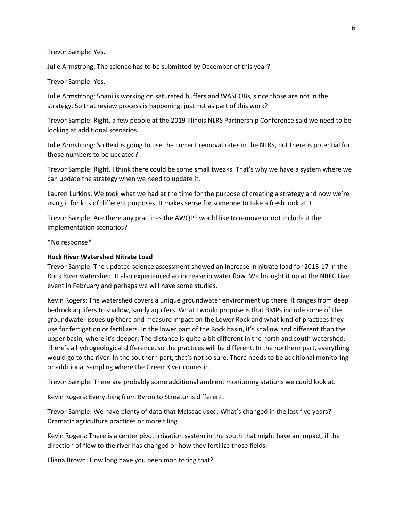Trevor Sample: Yes.

Julie Armstrong: The science has to be submitted by December of this year?

Trevor Sample: Yes.

Julie Armstrong: Shani is working on saturated buffers and WASCOBs, since those are not in the strategy. So that review process is happening, just not as part of this work?

Trevor Sample: Right, a few people at the 2019 Illinois NLRS Partnership Conference said we need to be looking at additional scenarios.

Julie Armstrong: So Reid is going to use the current removal rates in the NLRS, but there is potential for those numbers to be updated?

Trevor Sample: Right. I think there could be some small tweaks. That's why we have a system where we can update the strategy when we need to update it.

Lauren Lurkins: We took what we had at the time for the purpose of creating a strategy and now we're using it for lots of different purposes. It makes sense for someone to take a fresh look at it.

Trevor Sample: Are there any practices the AWQPF would like to remove or not include it the implementation scenarios?

\*No response\*

#### **Rock River Watershed Nitrate Load**

Trevor Sample: The updated science assessment showed an increase in nitrate load for 2013-17 in the Rock River watershed. It also experienced an increase in water flow. We brought it up at the NREC Live event in February and perhaps we will have some studies.

Kevin Rogers: The watershed covers a unique groundwater environment up there. It ranges from deep bedrock aquifers to shallow, sandy aquifers. What I would propose is that BMPs include some of the groundwater issues up there and measure impact on the Lower Rock and what kind of practices they use for fertigation or fertilizers. In the lower part of the Rock basin, it's shallow and different than the upper basin, where it's deeper. The distance is quite a bit different in the north and south watershed. There's a hydrogeological difference, so the practices will be different. In the northern part, everything would go to the river. In the southern part, that's not so sure. There needs to be additional monitoring or additional sampling where the Green River comes in.

Trevor Sample: There are probably some additional ambient monitoring stations we could look at.

Kevin Rogers: Everything from Byron to Streator is different.

Trevor Sample: We have plenty of data that McIsaac used. What's changed in the last five years? Dramatic agriculture practices or more tiling?

Kevin Rogers: There is a center pivot irrigation system in the south that might have an impact, if the direction of flow to the river has changed or how they fertilize those fields.

Eliana Brown: How long have you been monitoring that?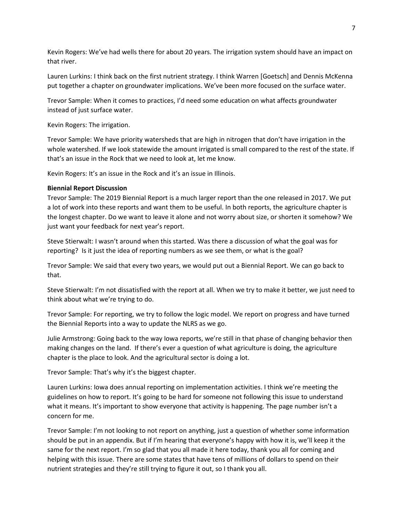Kevin Rogers: We've had wells there for about 20 years. The irrigation system should have an impact on that river.

Lauren Lurkins: I think back on the first nutrient strategy. I think Warren [Goetsch] and Dennis McKenna put together a chapter on groundwater implications. We've been more focused on the surface water.

Trevor Sample: When it comes to practices, I'd need some education on what affects groundwater instead of just surface water.

Kevin Rogers: The irrigation.

Trevor Sample: We have priority watersheds that are high in nitrogen that don't have irrigation in the whole watershed. If we look statewide the amount irrigated is small compared to the rest of the state. If that's an issue in the Rock that we need to look at, let me know.

Kevin Rogers: It's an issue in the Rock and it's an issue in Illinois.

## **Biennial Report Discussion**

Trevor Sample: The 2019 Biennial Report is a much larger report than the one released in 2017. We put a lot of work into these reports and want them to be useful. In both reports, the agriculture chapter is the longest chapter. Do we want to leave it alone and not worry about size, or shorten it somehow? We just want your feedback for next year's report.

Steve Stierwalt: I wasn't around when this started. Was there a discussion of what the goal was for reporting? Is it just the idea of reporting numbers as we see them, or what is the goal?

Trevor Sample: We said that every two years, we would put out a Biennial Report. We can go back to that.

Steve Stierwalt: I'm not dissatisfied with the report at all. When we try to make it better, we just need to think about what we're trying to do.

Trevor Sample: For reporting, we try to follow the logic model. We report on progress and have turned the Biennial Reports into a way to update the NLRS as we go.

Julie Armstrong: Going back to the way Iowa reports, we're still in that phase of changing behavior then making changes on the land. If there's ever a question of what agriculture is doing, the agriculture chapter is the place to look. And the agricultural sector is doing a lot.

Trevor Sample: That's why it's the biggest chapter.

Lauren Lurkins: Iowa does annual reporting on implementation activities. I think we're meeting the guidelines on how to report. It's going to be hard for someone not following this issue to understand what it means. It's important to show everyone that activity is happening. The page number isn't a concern for me.

Trevor Sample: I'm not looking to not report on anything, just a question of whether some information should be put in an appendix. But if I'm hearing that everyone's happy with how it is, we'll keep it the same for the next report. I'm so glad that you all made it here today, thank you all for coming and helping with this issue. There are some states that have tens of millions of dollars to spend on their nutrient strategies and they're still trying to figure it out, so I thank you all.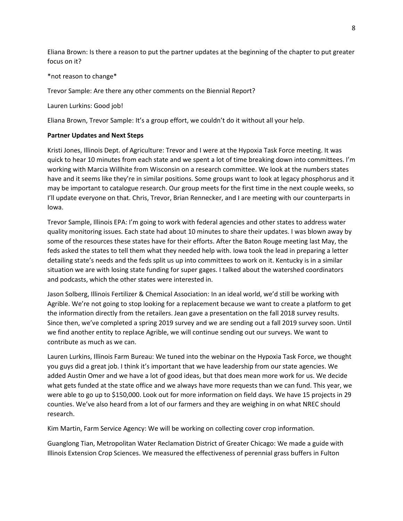Eliana Brown: Is there a reason to put the partner updates at the beginning of the chapter to put greater focus on it?

#### \*not reason to change\*

Trevor Sample: Are there any other comments on the Biennial Report?

Lauren Lurkins: Good job!

Eliana Brown, Trevor Sample: It's a group effort, we couldn't do it without all your help.

#### **Partner Updates and Next Steps**

Kristi Jones, Illinois Dept. of Agriculture: Trevor and I were at the Hypoxia Task Force meeting. It was quick to hear 10 minutes from each state and we spent a lot of time breaking down into committees. I'm working with Marcia Willhite from Wisconsin on a research committee. We look at the numbers states have and it seems like they're in similar positions. Some groups want to look at legacy phosphorus and it may be important to catalogue research. Our group meets for the first time in the next couple weeks, so I'll update everyone on that. Chris, Trevor, Brian Rennecker, and I are meeting with our counterparts in Iowa.

Trevor Sample, Illinois EPA: I'm going to work with federal agencies and other states to address water quality monitoring issues. Each state had about 10 minutes to share their updates. I was blown away by some of the resources these states have for their efforts. After the Baton Rouge meeting last May, the feds asked the states to tell them what they needed help with. Iowa took the lead in preparing a letter detailing state's needs and the feds split us up into committees to work on it. Kentucky is in a similar situation we are with losing state funding for super gages. I talked about the watershed coordinators and podcasts, which the other states were interested in.

Jason Solberg, Illinois Fertilizer & Chemical Association: In an ideal world, we'd still be working with Agrible. We're not going to stop looking for a replacement because we want to create a platform to get the information directly from the retailers. Jean gave a presentation on the fall 2018 survey results. Since then, we've completed a spring 2019 survey and we are sending out a fall 2019 survey soon. Until we find another entity to replace Agrible, we will continue sending out our surveys. We want to contribute as much as we can.

Lauren Lurkins, Illinois Farm Bureau: We tuned into the webinar on the Hypoxia Task Force, we thought you guys did a great job. I think it's important that we have leadership from our state agencies. We added Austin Omer and we have a lot of good ideas, but that does mean more work for us. We decide what gets funded at the state office and we always have more requests than we can fund. This year, we were able to go up to \$150,000. Look out for more information on field days. We have 15 projects in 29 counties. We've also heard from a lot of our farmers and they are weighing in on what NREC should research.

Kim Martin, Farm Service Agency: We will be working on collecting cover crop information.

Guanglong Tian, Metropolitan Water Reclamation District of Greater Chicago: We made a guide with Illinois Extension Crop Sciences. We measured the effectiveness of perennial grass buffers in Fulton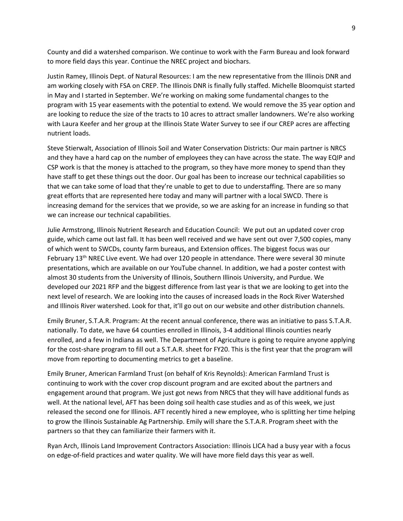County and did a watershed comparison. We continue to work with the Farm Bureau and look forward to more field days this year. Continue the NREC project and biochars.

Justin Ramey, Illinois Dept. of Natural Resources: I am the new representative from the Illinois DNR and am working closely with FSA on CREP. The Illinois DNR is finally fully staffed. Michelle Bloomquist started in May and I started in September. We're working on making some fundamental changes to the program with 15 year easements with the potential to extend. We would remove the 35 year option and are looking to reduce the size of the tracts to 10 acres to attract smaller landowners. We're also working with Laura Keefer and her group at the Illinois State Water Survey to see if our CREP acres are affecting nutrient loads.

Steve Stierwalt, Association of Illinois Soil and Water Conservation Districts: Our main partner is NRCS and they have a hard cap on the number of employees they can have across the state. The way EQIP and CSP work is that the money is attached to the program, so they have more money to spend than they have staff to get these things out the door. Our goal has been to increase our technical capabilities so that we can take some of load that they're unable to get to due to understaffing. There are so many great efforts that are represented here today and many will partner with a local SWCD. There is increasing demand for the services that we provide, so we are asking for an increase in funding so that we can increase our technical capabilities.

Julie Armstrong, Illinois Nutrient Research and Education Council: We put out an updated cover crop guide, which came out last fall. It has been well received and we have sent out over 7,500 copies, many of which went to SWCDs, county farm bureaus, and Extension offices. The biggest focus was our February 13<sup>th</sup> NREC Live event. We had over 120 people in attendance. There were several 30 minute presentations, which are available on our YouTube channel. In addition, we had a poster contest with almost 30 students from the University of Illinois, Southern Illinois University, and Purdue. We developed our 2021 RFP and the biggest difference from last year is that we are looking to get into the next level of research. We are looking into the causes of increased loads in the Rock River Watershed and Illinois River watershed. Look for that, it'll go out on our website and other distribution channels.

Emily Bruner, S.T.A.R. Program: At the recent annual conference, there was an initiative to pass S.T.A.R. nationally. To date, we have 64 counties enrolled in Illinois, 3-4 additional Illinois counties nearly enrolled, and a few in Indiana as well. The Department of Agriculture is going to require anyone applying for the cost-share program to fill out a S.T.A.R. sheet for FY20. This is the first year that the program will move from reporting to documenting metrics to get a baseline.

Emily Bruner, American Farmland Trust (on behalf of Kris Reynolds): American Farmland Trust is continuing to work with the cover crop discount program and are excited about the partners and engagement around that program. We just got news from NRCS that they will have additional funds as well. At the national level, AFT has been doing soil health case studies and as of this week, we just released the second one for Illinois. AFT recently hired a new employee, who is splitting her time helping to grow the Illinois Sustainable Ag Partnership. Emily will share the S.T.A.R. Program sheet with the partners so that they can familiarize their farmers with it.

Ryan Arch, Illinois Land Improvement Contractors Association: Illinois LICA had a busy year with a focus on edge-of-field practices and water quality. We will have more field days this year as well.